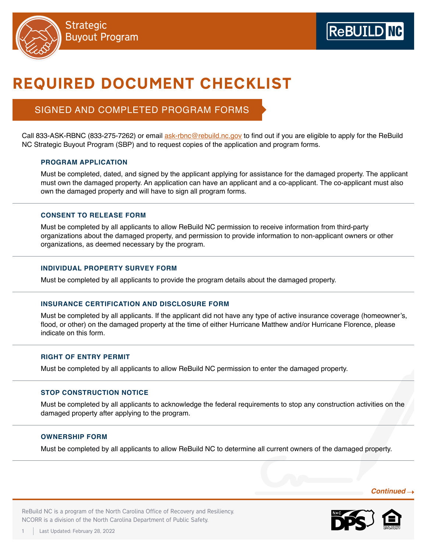

# REQUIRED DOCUMENT CHECKLIST

## SIGNED AND COMPLETED PROGRAM FORMS

Call 833-ASK-RBNC (833-275-7262) or email [ask-rbnc@rebuild.nc.gov](mailto:%20ask-rbnc%40rebuild.nc.gov?subject=) to find out if you are eligible to apply for the ReBuild NC Strategic Buyout Program (SBP) and to request copies of the application and program forms.

## **PROGRAM APPLICATION**

Must be completed, dated, and signed by the applicant applying for assistance for the damaged property. The applicant must own the damaged property. An application can have an applicant and a co-applicant. The co-applicant must also own the damaged property and will have to sign all program forms.

## **CONSENT TO RELEASE FORM**

Must be completed by all applicants to allow ReBuild NC permission to receive information from third-party organizations about the damaged property, and permission to provide information to non-applicant owners or other organizations, as deemed necessary by the program.

## **INDIVIDUAL PROPERTY SURVEY FORM**

Must be completed by all applicants to provide the program details about the damaged property.

## **INSURANCE CERTIFICATION AND DISCLOSURE FORM**

Must be completed by all applicants. If the applicant did not have any type of active insurance coverage (homeowner's, flood, or other) on the damaged property at the time of either Hurricane Matthew and/or Hurricane Florence, please indicate on this form.

## **RIGHT OF ENTRY PERMIT**

Must be completed by all applicants to allow ReBuild NC permission to enter the damaged property.

## **STOP CONSTRUCTION NOTICE**

Must be completed by all applicants to acknowledge the federal requirements to stop any construction activities on the damaged property after applying to the program.

## **OWNERSHIP FORM**

Last Updated: February 28, 2022

Must be completed by all applicants to allow ReBuild NC to determine all current owners of the damaged property.

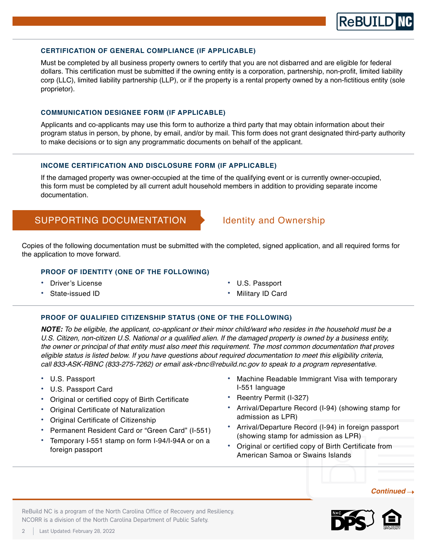

#### **CERTIFICATION OF GENERAL COMPLIANCE (IF APPLICABLE)**

Must be completed by all business property owners to certify that you are not disbarred and are eligible for federal dollars. This certification must be submitted if the owning entity is a corporation, partnership, non-profit, limited liability corp (LLC), limited liability partnership (LLP), or if the property is a rental property owned by a non-fictitious entity (sole proprietor).

### **COMMUNICATION DESIGNEE FORM (IF APPLICABLE)**

Applicants and co-applicants may use this form to authorize a third party that may obtain information about their program status in person, by phone, by email, and/or by mail. This form does not grant designated third-party authority to make decisions or to sign any programmatic documents on behalf of the applicant.

## **INCOME CERTIFICATION AND DISCLOSURE FORM (IF APPLICABLE)**

If the damaged property was owner-occupied at the time of the qualifying event or is currently owner-occupied, this form must be completed by all current adult household members in addition to providing separate income documentation.

## SUPPORTING DOCUMENTATION > Identity and Ownership

Copies of the following documentation must be submitted with the completed, signed application, and all required forms for the application to move forward.

## **PROOF OF IDENTITY (ONE OF THE FOLLOWING)**

• Driver's License

Small Rental Repair Program

State-issued ID

- U.S. Passport
- Military ID Card

### **PROOF OF QUALIFIED CITIZENSHIP STATUS (ONE OF THE FOLLOWING)**

*NOTE: To be eligible, the applicant, co-applicant or their minor child/ward who resides in the household must be a*  U.S. Citizen, non-citizen U.S. National or a qualified alien. If the damaged property is owned by a business entity, the owner or principal of that entity must also meet this requirement. The most common documentation that proves eligible status is listed below. If you have questions about required documentation to meet this eligibility criteria, call 833-ASK-RBNC (833-275-7262) or email ask-rbnc@rebuild.nc.gov to speak to a program representative.

- U.S. Passport
- U.S. Passport Card
- Original or certified copy of Birth Certificate
- Original Certificate of Naturalization
- Original Certificate of Citizenship
- Permanent Resident Card or "Green Card" (I-551)
- Temporary I-551 stamp on form I-94/I-94A or on a foreign passport
- Machine Readable Immigrant Visa with temporary I-551 language
- Reentry Permit (I-327)
- Arrival/Departure Record (I-94) (showing stamp for admission as LPR)
- Arrival/Departure Record (I-94) in foreign passport (showing stamp for admission as LPR)
- Original or certified copy of Birth Certificate from American Samoa or Swains Islands

### *Continued*

ReBuild NC is a program of the North Carolina Office of Recovery and Resiliency. NCORR is a division of the North Carolina Department of Public Safety.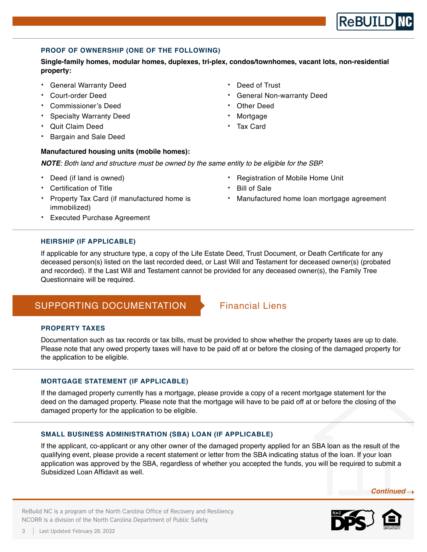## **PROOF OF OWNERSHIP (ONE OF THE FOLLOWING)**

**Single-family homes, modular homes, duplexes, tri-plex, condos/townhomes, vacant lots, non-residential property:**

• General Warranty Deed

Small Rental Repair Program

- Court-order Deed
- Commissioner's Deed
- Specialty Warranty Deed
- Quit Claim Deed
- Bargain and Sale Deed

## **Manufactured housing units (mobile homes):**

*NOTE*: Both land and structure must be owned by the same entity to be eligible for the SBP.

- Deed (if land is owned)
- Certification of Title
- Property Tax Card (if manufactured home is immobilized)
- Executed Purchase Agreement
- Registration of Mobile Home Unit
- **Bill of Sale**
- Manufactured home loan mortgage agreement

## **HEIRSHIP (IF APPLICABLE)**

If applicable for any structure type, a copy of the Life Estate Deed, Trust Document, or Death Certificate for any deceased person(s) listed on the last recorded deed, or Last Will and Testament for deceased owner(s) (probated and recorded). If the Last Will and Testament cannot be provided for any deceased owner(s), the Family Tree Questionnaire will be required.

## SUPPORTING DOCUMENTATION Financial Liens

## **PROPERTY TAXES**

Documentation such as tax records or tax bills, must be provided to show whether the property taxes are up to date. Please note that any owed property taxes will have to be paid off at or before the closing of the damaged property for the application to be eligible.

## **MORTGAGE STATEMENT (IF APPLICABLE)**

ReBuild NC is a program of the North Carolina Office of Recovery and Resiliency.

If the damaged property currently has a mortgage, please provide a copy of a recent mortgage statement for the deed on the damaged property. Please note that the mortgage will have to be paid off at or before the closing of the damaged property for the application to be eligible.

## **SMALL BUSINESS ADMINISTRATION (SBA) LOAN (IF APPLICABLE)**

If the applicant, co-applicant or any other owner of the damaged property applied for an SBA loan as the result of the qualifying event, please provide a recent statement or letter from the SBA indicating status of the loan. If your loan application was approved by the SBA, regardless of whether you accepted the funds, you will be required to submit a Subsidized Loan Affidavit as well.

 *Continued* 





## Deed of Trust

- General Non-warranty Deed
- **Other Deed**
- **Mortgage**
- Tax Card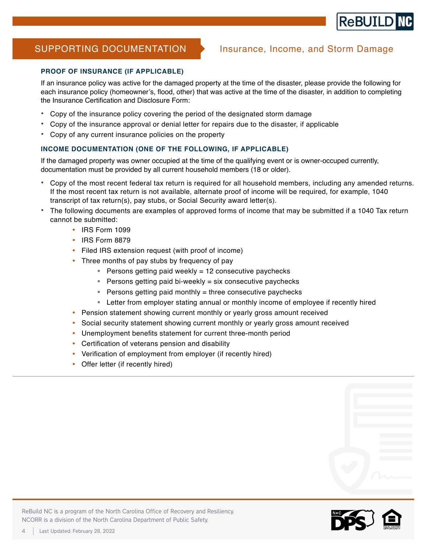

Small Rental Repair Program

## SUPPORTING DOCUMENTATION > Insurance, Income, and Storm Damage

## **PROOF OF INSURANCE (IF APPLICABLE)**

If an insurance policy was active for the damaged property at the time of the disaster, please provide the following for each insurance policy (homeowner's, flood, other) that was active at the time of the disaster, in addition to completing the Insurance Certification and Disclosure Form:

- Copy of the insurance policy covering the period of the designated storm damage
- Copy of the insurance approval or denial letter for repairs due to the disaster, if applicable
- Copy of any current insurance policies on the property

## **INCOME DOCUMENTATION (ONE OF THE FOLLOWING, IF APPLICABLE)**

If the damaged property was owner occupied at the time of the qualifying event or is owner-occuped currently, documentation must be provided by all current household members (18 or older).

- Copy of the most recent federal tax return is required for all household members, including any amended returns. If the most recent tax return is not available, alternate proof of income will be required, for example, 1040 transcript of tax return(s), pay stubs, or Social Security award letter(s).
- The following documents are examples of approved forms of income that may be submitted if a 1040 Tax return cannot be submitted:
	- IRS Form 1099
	- y IRS Form 8879
	- Filed IRS extension request (with proof of income)
	- Three months of pay stubs by frequency of pay
		- **Persons getting paid weekly = 12 consecutive paychecks**
		- **Persons getting paid bi-weekly = six consecutive paychecks**
		- **Persons getting paid monthly = three consecutive paychecks**
		- Letter from employer stating annual or monthly income of employee if recently hired
	- Pension statement showing current monthly or yearly gross amount received
	- Social security statement showing current monthly or yearly gross amount received
	- Unemployment benefits statement for current three-month period
	- Certification of veterans pension and disability
	- Verification of employment from employer (if recently hired)
	- Offer letter (if recently hired)

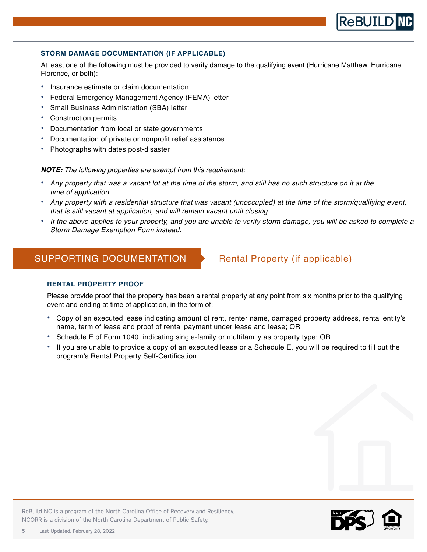## **STORM DAMAGE DOCUMENTATION (IF APPLICABLE)**

At least one of the following must be provided to verify damage to the qualifying event (Hurricane Matthew, Hurricane Florence, or both):

- Insurance estimate or claim documentation
- Federal Emergency Management Agency (FEMA) letter
- Small Business Administration (SBA) letter
- Construction permits

Small Rental Repair Program

- Documentation from local or state governments
- Documentation of private or nonprofit relief assistance
- Photographs with dates post-disaster

*NOTE:* The following properties are exempt from this requirement:

- Any property that was a vacant lot at the time of the storm, and still has no such structure on it at the time of application.
- Any property with a residential structure that was vacant (unoccupied) at the time of the storm/qualifying event, that is still vacant at application, and will remain vacant until closing.
- If the above applies to your property, and you are unable to verify storm damage, you will be asked to complete a Storm Damage Exemption Form instead.

## SUPPORTING DOCUMENTATION Rental Property (if applicable)

## **RENTAL PROPERTY PROOF**

Please provide proof that the property has been a rental property at any point from six months prior to the qualifying event and ending at time of application, in the form of:

- Copy of an executed lease indicating amount of rent, renter name, damaged property address, rental entity's name, term of lease and proof of rental payment under lease and lease; OR
- Schedule E of Form 1040, indicating single-family or multifamily as property type; OR
- If you are unable to provide a copy of an executed lease or a Schedule E, you will be required to fill out the program's Rental Property Self-Certification.



**ReBUILD**